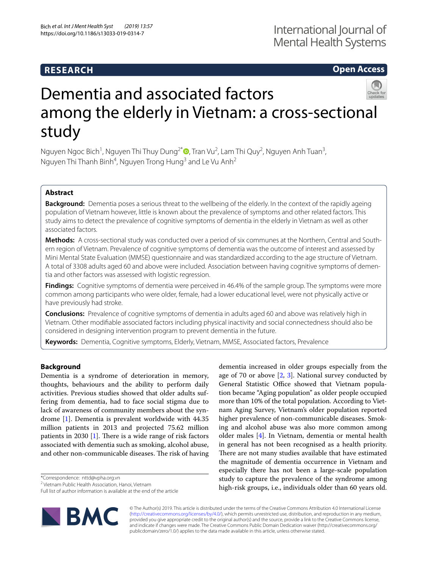# **RESEARCH**

# **Open Access**

# Dementia and associated factors among the elderly in Vietnam: a cross-sectional study

Nguyen Ngoc Bich<sup>1</sup>[,](http://orcid.org/0000-0002-5781-4393) Nguyen Thi Thuy Dung<sup>2\*</sup> (**D**, Tran Vu<sup>2</sup>, Lam Thi Quy<sup>2</sup>, Nguyen Anh Tuan<sup>3</sup>, Nguyen Thi Thanh Binh<sup>4</sup>, Nguyen Trong Hung<sup>3</sup> and Le Vu Anh<sup>2</sup>

# **Abstract**

**Background:** Dementia poses a serious threat to the wellbeing of the elderly. In the context of the rapidly ageing population of Vietnam however, little is known about the prevalence of symptoms and other related factors. This study aims to detect the prevalence of cognitive symptoms of dementia in the elderly in Vietnam as well as other associated factors.

**Methods:** A cross-sectional study was conducted over a period of six communes at the Northern, Central and Southern region of Vietnam. Prevalence of cognitive symptoms of dementia was the outcome of interest and assessed by Mini Mental State Evaluation (MMSE) questionnaire and was standardized according to the age structure of Vietnam. A total of 3308 adults aged 60 and above were included. Association between having cognitive symptoms of dementia and other factors was assessed with logistic regression.

Findings: Cognitive symptoms of dementia were perceived in 46.4% of the sample group. The symptoms were more common among participants who were older, female, had a lower educational level, were not physically active or have previously had stroke.

**Conclusions:** Prevalence of cognitive symptoms of dementia in adults aged 60 and above was relatively high in Vietnam. Other modifable associated factors including physical inactivity and social connectedness should also be considered in designing intervention program to prevent dementia in the future.

**Keywords:** Dementia, Cognitive symptoms, Elderly, Vietnam, MMSE, Associated factors, Prevalence

# **Background**

Dementia is a syndrome of deterioration in memory, thoughts, behaviours and the ability to perform daily activities. Previous studies showed that older adults suffering from dementia, had to face social stigma due to lack of awareness of community members about the syndrome [\[1](#page-6-0)]. Dementia is prevalent worldwide with 44.35 million patients in 2013 and projected 75.62 million patients in 2030 [[1\]](#page-6-0). There is a wide range of risk factors associated with dementia such as smoking, alcohol abuse, and other non-communicable diseases. The risk of having

\*Correspondence: nttd@vpha.org.vn

Full list of author information is available at the end of the article



dementia increased in older groups especially from the age of 70 or above  $[2, 3]$  $[2, 3]$  $[2, 3]$ . National survey conducted by General Statistic Office showed that Vietnam population became "Aging population" as older people occupied more than 10% of the total population. According to Vietnam Aging Survey, Vietnam's older population reported higher prevalence of non-communicable diseases. Smoking and alcohol abuse was also more common among older males [[4\]](#page-6-3). In Vietnam, dementia or mental health in general has not been recognised as a health priority. There are not many studies available that have estimated the magnitude of dementia occurrence in Vietnam and especially there has not been a large-scale population study to capture the prevalence of the syndrome among high-risk groups, i.e., individuals older than 60 years old.

© The Author(s) 2019. This article is distributed under the terms of the Creative Commons Attribution 4.0 International License [\(http://creativecommons.org/licenses/by/4.0/\)](http://creativecommons.org/licenses/by/4.0/), which permits unrestricted use, distribution, and reproduction in any medium, provided you give appropriate credit to the original author(s) and the source, provide a link to the Creative Commons license, and indicate if changes were made. The Creative Commons Public Domain Dedication waiver (http://creativecommons.org/ publicdomain/zero/1.0/) applies to the data made available in this article, unless otherwise stated.

<sup>&</sup>lt;sup>2</sup> Vietnam Public Health Association, Hanoi, Vietnam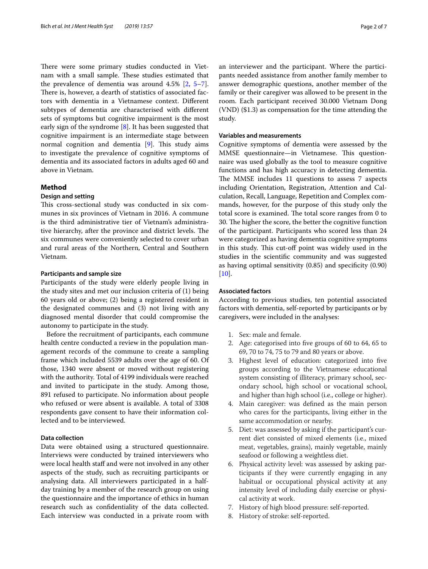There were some primary studies conducted in Vietnam with a small sample. These studies estimated that the prevalence of dementia was around 4.5% [[2,](#page-6-1) [5](#page-6-4)[–7](#page-6-5)]. There is, however, a dearth of statistics of associated factors with dementia in a Vietnamese context. Diferent subtypes of dementia are characterised with diferent sets of symptoms but cognitive impairment is the most early sign of the syndrome [\[8](#page-6-6)]. It has been suggested that cognitive impairment is an intermediate stage between normal cognition and dementia [[9](#page-6-7)]. This study aims to investigate the prevalence of cognitive symptoms of dementia and its associated factors in adults aged 60 and above in Vietnam.

# **Method**

# **Design and setting**

This cross-sectional study was conducted in six communes in six provinces of Vietnam in 2016. A commune is the third administrative tier of Vietnam's administrative hierarchy, after the province and district levels. The six communes were conveniently selected to cover urban and rural areas of the Northern, Central and Southern Vietnam.

#### **Participants and sample size**

Participants of the study were elderly people living in the study sites and met our inclusion criteria of (1) being 60 years old or above; (2) being a registered resident in the designated communes and (3) not living with any diagnosed mental disorder that could compromise the autonomy to participate in the study.

Before the recruitment of participants, each commune health centre conducted a review in the population management records of the commune to create a sampling frame which included 5539 adults over the age of 60. Of those, 1340 were absent or moved without registering with the authority. Total of 4199 individuals were reached and invited to participate in the study. Among those, 891 refused to participate. No information about people who refused or were absent is available. A total of 3308 respondents gave consent to have their information collected and to be interviewed.

## **Data collection**

Data were obtained using a structured questionnaire. Interviews were conducted by trained interviewers who were local health staff and were not involved in any other aspects of the study, such as recruiting participants or analysing data. All interviewers participated in a halfday training by a member of the research group on using the questionnaire and the importance of ethics in human research such as confdentiality of the data collected. Each interview was conducted in a private room with an interviewer and the participant. Where the participants needed assistance from another family member to answer demographic questions, another member of the family or their caregiver was allowed to be present in the room. Each participant received 30.000 Vietnam Dong (VND) (\$1.3) as compensation for the time attending the study.

#### **Variables and measurements**

Cognitive symptoms of dementia were assessed by the MMSE questionnaire—in Vietnamese. This questionnaire was used globally as the tool to measure cognitive functions and has high accuracy in detecting dementia. The MMSE includes 11 questions to assess 7 aspects including Orientation, Registration, Attention and Calculation, Recall, Language, Repetition and Complex commands, however, for the purpose of this study only the total score is examined. The total score ranges from 0 to 30. The higher the score, the better the cognitive function of the participant. Participants who scored less than 24 were categorized as having dementia cognitive symptoms in this study. This cut-off point was widely used in the studies in the scientifc community and was suggested as having optimal sensitivity (0.85) and specifcity (0.90) [[10\]](#page-6-8).

# **Associated factors**

According to previous studies, ten potential associated factors with dementia, self-reported by participants or by caregivers, were included in the analyses:

- 1. Sex: male and female.
- 2. Age: categorised into fve groups of 60 to 64, 65 to 69, 70 to 74, 75 to 79 and 80 years or above.
- 3. Highest level of education: categorized into fve groups according to the Vietnamese educational system consisting of illiteracy, primary school, secondary school, high school or vocational school, and higher than high school (i.e., college or higher).
- 4. Main caregiver: was defned as the main person who cares for the participants, living either in the same accommodation or nearby.
- 5. Diet: was assessed by asking if the participant's current diet consisted of mixed elements (i.e., mixed meat, vegetables, grains), mainly vegetable, mainly seafood or following a weightless diet.
- 6. Physical activity level: was assessed by asking participants if they were currently engaging in any habitual or occupational physical activity at any intensity level of including daily exercise or physical activity at work.
- 7. History of high blood pressure: self-reported.
- 8. History of stroke: self-reported.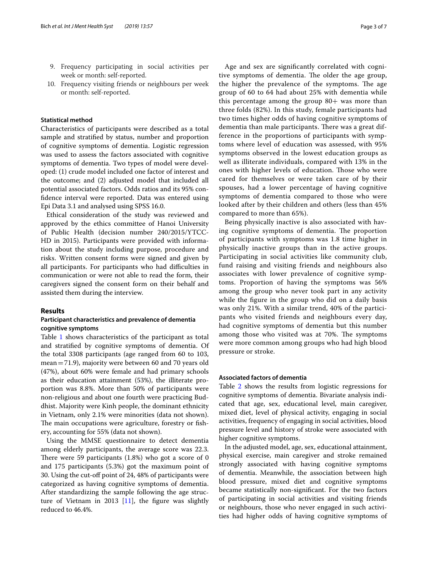- 9. Frequency participating in social activities per week or month: self-reported.
- 10. Frequency visiting friends or neighbours per week or month: self-reported.

#### **Statistical method**

Characteristics of participants were described as a total sample and stratifed by status, number and proportion of cognitive symptoms of dementia. Logistic regression was used to assess the factors associated with cognitive symptoms of dementia. Two types of model were developed: (1) crude model included one factor of interest and the outcome; and (2) adjusted model that included all potential associated factors. Odds ratios and its 95% confdence interval were reported. Data was entered using Epi Data 3.1 and analysed using SPSS 16.0.

Ethical consideration of the study was reviewed and approved by the ethics committee of Hanoi University of Public Health (decision number 240/2015/YTCC-HD in 2015). Participants were provided with information about the study including purpose, procedure and risks. Written consent forms were signed and given by all participants. For participants who had difficulties in communication or were not able to read the form, their caregivers signed the consent form on their behalf and assisted them during the interview.

## **Results**

# **Participant characteristics and prevalence of dementia cognitive symptoms**

Table [1](#page-3-0) shows characteristics of the participant as total and stratifed by cognitive symptoms of dementia. Of the total 3308 participants (age ranged from 60 to 103, mean=71.9), majority were between 60 and 70 years old (47%), about 60% were female and had primary schools as their education attainment (53%), the illiterate proportion was 8.8%. More than 50% of participants were non-religious and about one fourth were practicing Buddhist. Majority were Kinh people, the dominant ethnicity in Vietnam, only 2.1% were minorities (data not shown). The main occupations were agriculture, forestry or fishery, accounting for 55% (data not shown).

Using the MMSE questionnaire to detect dementia among elderly participants, the average score was 22.3. There were 59 participants  $(1.8%)$  who got a score of 0 and 175 participants (5.3%) got the maximum point of 30. Using the cut-of point of 24, 48% of participants were categorized as having cognitive symptoms of dementia. After standardizing the sample following the age structure of Vietnam in 2013  $[11]$  $[11]$ , the figure was slightly reduced to 46.4%.

Age and sex are signifcantly correlated with cognitive symptoms of dementia. The older the age group, the higher the prevalence of the symptoms. The age group of 60 to 64 had about 25% with dementia while this percentage among the group  $80+$  was more than three folds (82%). In this study, female participants had two times higher odds of having cognitive symptoms of dementia than male participants. There was a great difference in the proportions of participants with symptoms where level of education was assessed, with 95% symptoms observed in the lowest education groups as well as illiterate individuals, compared with 13% in the ones with higher levels of education. Those who were cared for themselves or were taken care of by their spouses, had a lower percentage of having cognitive symptoms of dementia compared to those who were looked after by their children and others (less than 45% compared to more than 65%).

Being physically inactive is also associated with having cognitive symptoms of dementia. The proportion of participants with symptoms was 1.8 time higher in physically inactive groups than in the active groups. Participating in social activities like community club, fund raising and visiting friends and neighbours also associates with lower prevalence of cognitive symptoms. Proportion of having the symptoms was 56% among the group who never took part in any activity while the fgure in the group who did on a daily basis was only 21%. With a similar trend, 40% of the participants who visited friends and neighbours every day, had cognitive symptoms of dementia but this number among those who visited was at 70%. The symptoms were more common among groups who had high blood pressure or stroke.

# **Associated factors of dementia**

Table [2](#page-4-0) shows the results from logistic regressions for cognitive symptoms of dementia. Bivariate analysis indicated that age, sex, educational level, main caregiver, mixed diet, level of physical activity, engaging in social activities, frequency of engaging in social activities, blood pressure level and history of stroke were associated with higher cognitive symptoms.

In the adjusted model, age, sex, educational attainment, physical exercise, main caregiver and stroke remained strongly associated with having cognitive symptoms of dementia. Meanwhile, the association between high blood pressure, mixed diet and cognitive symptoms became statistically non-signifcant. For the two factors of participating in social activities and visiting friends or neighbours, those who never engaged in such activities had higher odds of having cognitive symptoms of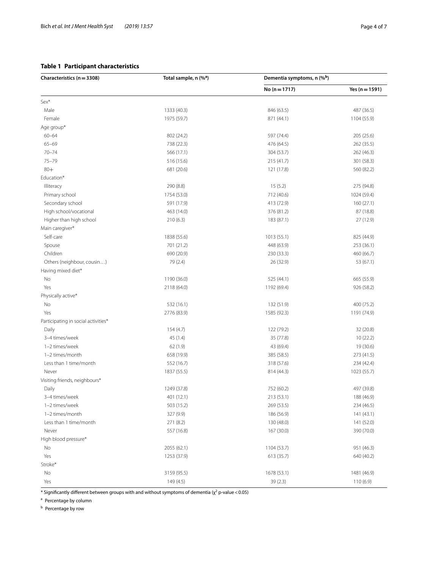# <span id="page-3-0"></span>**Table 1 Participant characteristics**

| Characteristics (n = 3308)          | Total sample, n (% <sup>a</sup> ) | Dementia symptoms, n (%b) |                  |  |
|-------------------------------------|-----------------------------------|---------------------------|------------------|--|
|                                     |                                   | No $(n = 1717)$           | Yes $(n = 1591)$ |  |
| Sex*                                |                                   |                           |                  |  |
| Male                                | 1333 (40.3)                       | 846 (63.5)                | 487 (36.5)       |  |
| Female                              | 1975 (59.7)                       | 871 (44.1)                | 1104 (55.9)      |  |
| Age group*                          |                                   |                           |                  |  |
| $60 - 64$                           | 802 (24.2)                        | 597 (74.4)                | 205 (25.6)       |  |
| $65 - 69$                           | 738 (22.3)                        | 476 (64.5)                | 262 (35.5)       |  |
| $70 - 74$                           | 566 (17.1)                        | 304 (53.7)                | 262 (46.3)       |  |
| $75 - 79$                           | 516 (15.6)                        | 215 (41.7)                | 301 (58.3)       |  |
| $80 +$                              | 681 (20.6)                        | 121 (17.8)                | 560 (82.2)       |  |
| Education*                          |                                   |                           |                  |  |
| Illiteracy                          | 290 (8.8)                         | 15(5.2)                   | 275 (94.8)       |  |
| Primary school                      | 1754 (53.0)                       | 712 (40.6)                | 1024 (59.4)      |  |
| Secondary school                    | 591 (17.9)                        | 413 (72.9)                | 160 (27.1)       |  |
| High school/vocational              | 463 (14.0)                        | 376 (81.2)                | 87 (18.8)        |  |
| Higher than high school             | 210 (6.3)                         | 183 (87.1)                | 27 (12.9)        |  |
| Main caregiver*                     |                                   |                           |                  |  |
| Self-care                           | 1838 (55.6)                       | 1013(55.1)                | 825 (44.9)       |  |
| Spouse                              | 701 (21.2)                        | 448 (63.9)                | 253 (36.1)       |  |
| Children                            | 690 (20.9)                        | 230 (33.3)                | 460 (66.7)       |  |
| Others (neighbour, cousin)          | 79 (2.4)                          | 26 (32.9)                 | 53 (67.1)        |  |
| Having mixed diet*                  |                                   |                           |                  |  |
| No                                  | 1190 (36.0)                       | 525 (44.1)                | 665 (55.9)       |  |
| Yes                                 | 2118 (64.0)                       | 1192 (69.4)               | 926 (58.2)       |  |
| Physically active*                  |                                   |                           |                  |  |
| No                                  | 532 (16.1)                        | 132 (51.9)                | 400 (75.2)       |  |
| Yes                                 | 2776 (83.9)                       | 1585 (92.3)               | 1191 (74.9)      |  |
| Participating in social activities* |                                   |                           |                  |  |
| Daily                               | 154 (4.7)                         | 122 (79.2)                | 32 (20.8)        |  |
| 3-4 times/week                      | 45(1.4)                           | 35 (77.8)                 | 10(22.2)         |  |
| 1-2 times/week                      | 62(1.9)                           | 43 (69.4)                 | 19 (30.6)        |  |
| 1-2 times/month                     | 658 (19.9)                        | 385 (58.5)                | 273 (41.5)       |  |
| Less than 1 time/month              | 552 (16.7)                        | 318 (57.6)                | 234 (42.4)       |  |
| Never                               | 1837 (55.5)                       | 814 (44.3)                | 1023 (55.7)      |  |
| Visiting friends, neighbours*       |                                   |                           |                  |  |
| Daily                               | 1249 (37.8)                       | 752 (60.2)                | 497 (39.8)       |  |
| 3-4 times/week                      | 401 (12.1)                        | 213 (53.1)                | 188 (46.9)       |  |
| 1-2 times/week                      | 503 (15.2)                        | 269 (53.5)                | 234 (46.5)       |  |
| 1-2 times/month                     | 327 (9.9)                         | 186 (56.9)                | 141 (43.1)       |  |
| Less than 1 time/month              | 271 (8.2)                         | 130 (48.0)                | 141 (52.0)       |  |
| Never                               | 557 (16.8)                        | 167 (30.0)                | 390 (70.0)       |  |
| High blood pressure*                |                                   |                           |                  |  |
| No                                  | 2055 (62.1)                       | 1104 (53.7)               | 951 (46.3)       |  |
| Yes                                 | 1253 (37.9)                       | 613 (35.7)                | 640 (40.2)       |  |
| Stroke*                             |                                   |                           |                  |  |
| No                                  | 3159 (95.5)                       | 1678 (53.1)               | 1481 (46.9)      |  |
| Yes                                 | 149 (4.5)                         | 39(2.3)                   | 110(6.9)         |  |

 $^*$  Significantly different between groups with and without symptoms of dementia ( $\chi^2$  p-value < 0.05)

<sup>a</sup> Percentage by column

**b** Percentage by row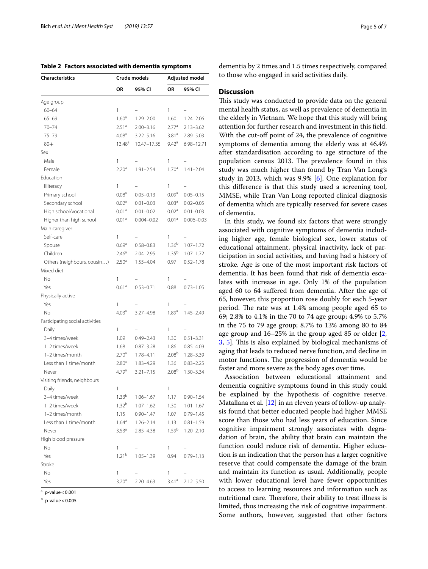<span id="page-4-0"></span>

|  |  |  |  |  | Table 2 Factors associated with dementia symptoms |
|--|--|--|--|--|---------------------------------------------------|
|--|--|--|--|--|---------------------------------------------------|

| <b>Characteristics</b>          |                   | Crude models   |                   | Adjusted model           |  |
|---------------------------------|-------------------|----------------|-------------------|--------------------------|--|
|                                 | ΟR                | 95% CI         | <b>OR</b>         | 95% CI                   |  |
| Age group                       |                   |                |                   |                          |  |
| $60 - 64$                       | 1                 |                | 1                 | $\overline{\phantom{0}}$ |  |
| $65 - 69$                       | 1.60 <sup>a</sup> | $1.29 - 2.00$  | 1.60              | $1.24 - 2.06$            |  |
| $70 - 74$                       | 2.51 <sup>a</sup> | $2.00 - 3.16$  | 2.77 <sup>a</sup> | $2.13 - 3.62$            |  |
| $75 - 79$                       | 4.08 <sup>a</sup> | $3.22 - 5.16$  | $3.81^a$          | 2.89-5.03                |  |
| $80+$                           | $13.48^{\circ}$   | 10.47-17.35    | $9.42^{\circ}$    | 6.98-12.71               |  |
| Sex                             |                   |                |                   |                          |  |
| Male                            | 1                 |                | 1                 |                          |  |
| Female                          | 2.20 <sup>a</sup> | $1.91 - 2.54$  | $1.70^{\circ}$    | $1.41 - 2.04$            |  |
| Education                       |                   |                |                   |                          |  |
| Illiteracy                      | 1                 |                | 1                 |                          |  |
| Primary school                  | 0.08 <sup>a</sup> | $0.05 - 0.13$  | 0.09 <sup>a</sup> | $0.05 - 0.15$            |  |
| Secondary school                | 0.02 <sup>a</sup> | $0.01 - 0.03$  | 0.03 <sup>a</sup> | $0.02 - 0.05$            |  |
| High school/vocational          | 0.01 <sup>a</sup> | $0.01 - 0.02$  | 0.02 <sup>a</sup> | $0.01 - 0.03$            |  |
| Higher than high school         | 0.01 <sup>a</sup> | $0.004 - 0.02$ | 0.01 <sup>a</sup> | $0.006 - 0.03$           |  |
| Main caregiver                  |                   |                |                   |                          |  |
| Self-care                       | 1                 |                | 1                 |                          |  |
| Spouse                          | 0.69 <sup>a</sup> | $0.58 - 0.83$  | $1.36^{b}$        | $1.07 - 1.72$            |  |
| Children                        | 2.46 <sup>a</sup> | $2.04 - 2.95$  | $1.35^{b}$        | $1.07 - 1.72$            |  |
| Others (neighbours, cousin)     | 2.50 <sup>a</sup> | 1.55-4.04      | 0.97              | $0.52 - 1.78$            |  |
| Mixed diet                      |                   |                |                   |                          |  |
| No                              | 1                 |                | 1                 |                          |  |
| Yes                             | 0.61 <sup>a</sup> | $0.53 - 0.71$  | 0.88              | $0.73 - 1.05$            |  |
| Physically active               |                   |                |                   |                          |  |
| Yes                             | 1                 |                | 1                 |                          |  |
| No                              | 4.03 <sup>a</sup> | $3.27 - 4.98$  | 1.89 <sup>a</sup> | $1.45 - 2.49$            |  |
| Participating social activities |                   |                |                   |                          |  |
| Daily                           | 1                 |                | 1                 |                          |  |
| 3-4 times/week                  | 1.09              | $0.49 - 2.43$  | 1.30              | $0.51 - 3.31$            |  |
| 1-2 times/week                  | 1.68              | $0.87 - 3.28$  | 1.86              | $0.85 - 4.09$            |  |
| 1-2 times/month                 | 2.70 <sup>a</sup> | 1.78-4.11      | 2.08 <sup>b</sup> | 1.28-3.39                |  |
| Less than 1 time/month          | 2.80 <sup>d</sup> | 1.83-4.29      | 1.36              | $0.83 - 2.25$            |  |
| Never                           | 4.79a             | $3.21 - 7.15$  | 2.08 <sup>b</sup> | $1.30 - 3.34$            |  |
| Visiting friends, neighbours    |                   |                |                   |                          |  |
| Daily                           | 1                 |                | 1                 |                          |  |
| 3-4 times/week                  | 1.33 <sup>b</sup> | $1.06 - 1.67$  | 1.17              | $0.90 - 1.54$            |  |
| 1-2 times/week                  | 1.32 <sup>b</sup> | $1.07 - 1.62$  | 1.30              | $1.01 - 1.67$            |  |
| 1-2 times/month                 | 1.15              | $0.90 - 1.47$  | 1.07              | $0.79 - 1.45$            |  |
| Less than 1 time/month          | 1.64 <sup>a</sup> | $1.26 - 2.14$  | 1.13              | $0.81 - 1.59$            |  |
| Never                           | 3.53 <sup>a</sup> | 2.85-4.38      | 1.59 <sup>b</sup> | $1.20 - 2.10$            |  |
| High blood pressure             |                   |                |                   |                          |  |
| No                              | 1                 |                | 1                 |                          |  |
| Yes                             | 1.21 <sup>b</sup> | $1.05 - 1.39$  | 0.94              | $0.79 - 1.13$            |  |
| Stroke                          |                   |                |                   |                          |  |
| No                              | 1                 |                | 1                 |                          |  |
| Yes                             | 3.20 <sup>a</sup> | 2.20-4.63      | $3.41^a$          | $2.12 - 5.50$            |  |

 $a$  p-value < 0.001

 $<sub>b</sub>$  p-value < 0.005</sub>

dementia by 2 times and 1.5 times respectively, compared to those who engaged in said activities daily.

# **Discussion**

This study was conducted to provide data on the general mental health status, as well as prevalence of dementia in the elderly in Vietnam. We hope that this study will bring attention for further research and investment in this feld. With the cut-off point of 24, the prevalence of cognitive symptoms of dementia among the elderly was at 46.4% after standardisation according to age structure of the population census 2013. The prevalence found in this study was much higher than found by Tran Van Long's study in 2013, which was 9.9% [\[6](#page-6-10)]. One explanation for this diference is that this study used a screening tool, MMSE, while Tran Van Long reported clinical diagnosis of dementia which are typically reserved for severe cases of dementia.

In this study, we found six factors that were strongly associated with cognitive symptoms of dementia including higher age, female biological sex, lower status of educational attainment, physical inactivity, lack of participation in social activities, and having had a history of stroke. Age is one of the most important risk factors of dementia. It has been found that risk of dementia escalates with increase in age. Only 1% of the population aged 60 to 64 sufered from dementia. After the age of 65, however, this proportion rose doubly for each 5-year period. The rate was at 1.4% among people aged 65 to 69; 2.8% to 4.1% in the 70 to 74 age group; 4.9% to 5.7% in the 75 to 79 age group; 8.7% to 13% among 80 to 84 age group and 16–25% in the group aged 85 or older [\[2](#page-6-1), [3,](#page-6-2) [5\]](#page-6-4). This is also explained by biological mechanisms of aging that leads to reduced nerve function, and decline in motor functions. The progression of dementia would be faster and more severe as the body ages over time.

Association between educational attainment and dementia cognitive symptoms found in this study could be explained by the hypothesis of cognitive reserve. Matallana et al. [\[12](#page-6-11)] in an eleven years of follow-up analysis found that better educated people had higher MMSE score than those who had less years of education. Since cognitive impairment strongly associates with degradation of brain, the ability that brain can maintain the function could reduce risk of dementia. Higher education is an indication that the person has a larger cognitive reserve that could compensate the damage of the brain and maintain its function as usual. Additionally, people with lower educational level have fewer opportunities to access to learning resources and information such as nutritional care. Therefore, their ability to treat illness is limited, thus increasing the risk of cognitive impairment. Some authors, however, suggested that other factors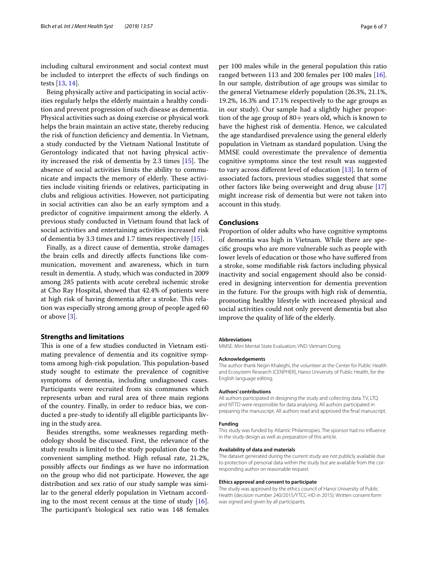including cultural environment and social context must be included to interpret the efects of such fndings on tests [[13,](#page-6-12) [14](#page-6-13)].

Being physically active and participating in social activities regularly helps the elderly maintain a healthy condition and prevent progression of such disease as dementia. Physical activities such as doing exercise or physical work helps the brain maintain an active state, thereby reducing the risk of function defciency and dementia. In Vietnam, a study conducted by the Vietnam National Institute of Gerontology indicated that not having physical activity increased the risk of dementia by 2.3 times  $[15]$  $[15]$ . The absence of social activities limits the ability to communicate and impacts the memory of elderly. These activities include visiting friends or relatives, participating in clubs and religious activities. However, not participating in social activities can also be an early symptom and a predictor of cognitive impairment among the elderly. A previous study conducted in Vietnam found that lack of social activities and entertaining activities increased risk of dementia by 3.3 times and 1.7 times respectively [\[15\]](#page-6-14).

Finally, as a direct cause of dementia, stroke damages the brain cells and directly afects functions like communication, movement and awareness, which in turn result in dementia. A study, which was conducted in 2009 among 285 patients with acute cerebral ischemic stroke at Cho Ray Hospital, showed that 42.4% of patients were at high risk of having dementia after a stroke. This relation was especially strong among group of people aged 60 or above [\[3](#page-6-2)].

# **Strengths and limitations**

This is one of a few studies conducted in Vietnam estimating prevalence of dementia and its cognitive symptoms among high-risk population. This population-based study sought to estimate the prevalence of cognitive symptoms of dementia, including undiagnosed cases. Participants were recruited from six communes which represents urban and rural area of three main regions of the country. Finally, in order to reduce bias, we conducted a pre-study to identify all eligible participants living in the study area.

Besides strengths, some weaknesses regarding methodology should be discussed. First, the relevance of the study results is limited to the study population due to the convenient sampling method. High refusal rate, 21.2%, possibly afects our fndings as we have no information on the group who did not participate. However, the age distribution and sex ratio of our study sample was similar to the general elderly population in Vietnam according to the most recent census at the time of study [\[16](#page-6-15)]. The participant's biological sex ratio was 148 females per 100 males while in the general population this ratio ranged between 113 and 200 females per 100 males [\[16](#page-6-15)]. In our sample, distribution of age groups was similar to the general Vietnamese elderly population (26.3%, 21.1%, 19.2%, 16.3% and 17.1% respectively to the age groups as in our study). Our sample had a slightly higher proportion of the age group of  $80+$  years old, which is known to have the highest risk of dementia. Hence, we calculated the age standardised prevalence using the general elderly population in Vietnam as standard population. Using the MMSE could overestimate the prevalence of dementia cognitive symptoms since the test result was suggested to vary across diferent level of education [\[13](#page-6-12)]. In term of associated factors, previous studies suggested that some other factors like being overweight and drug abuse [[17](#page-6-16)] might increase risk of dementia but were not taken into account in this study.

# **Conclusions**

Proportion of older adults who have cognitive symptoms of dementia was high in Vietnam. While there are specifc groups who are more vulnerable such as people with lower levels of education or those who have sufered from a stroke, some modifable risk factors including physical inactivity and social engagement should also be considered in designing intervention for dementia prevention in the future. For the groups with high risk of dementia, promoting healthy lifestyle with increased physical and social activities could not only prevent dementia but also improve the quality of life of the elderly.

#### **Abbreviations**

MMSE: Mini Mental State Evaluation; VND: Vietnam Dong.

#### **Acknowledgements**

The author thank Negin Khaleghi, the volunteer at the Center for Public Health and Ecosystem Research (CENPHER), Hanoi University of Public Health, for the English language editing.

#### **Authors' contributions**

All authors participated in designing the study and collecting data. TV, LTQ and NTTD were responsible for data analysing. All authors participated in preparing the manuscript. All authors read and approved the fnal manuscript.

#### **Funding**

This study was funded by Atlantic Philantropies. The sponsor had no infuence in the study design as well as preparation of this article.

#### **Availability of data and materials**

The dataset generated during the current study are not publicly available due to protection of personal data within the study but are available from the corresponding author on reasonable request.

#### **Ethics approval and consent to participate**

The study was approved by the ethics council of Hanoi University of Public Health (decision number 240/2015/YTCC-HD in 2015). Written consent form was signed and given by all participants.